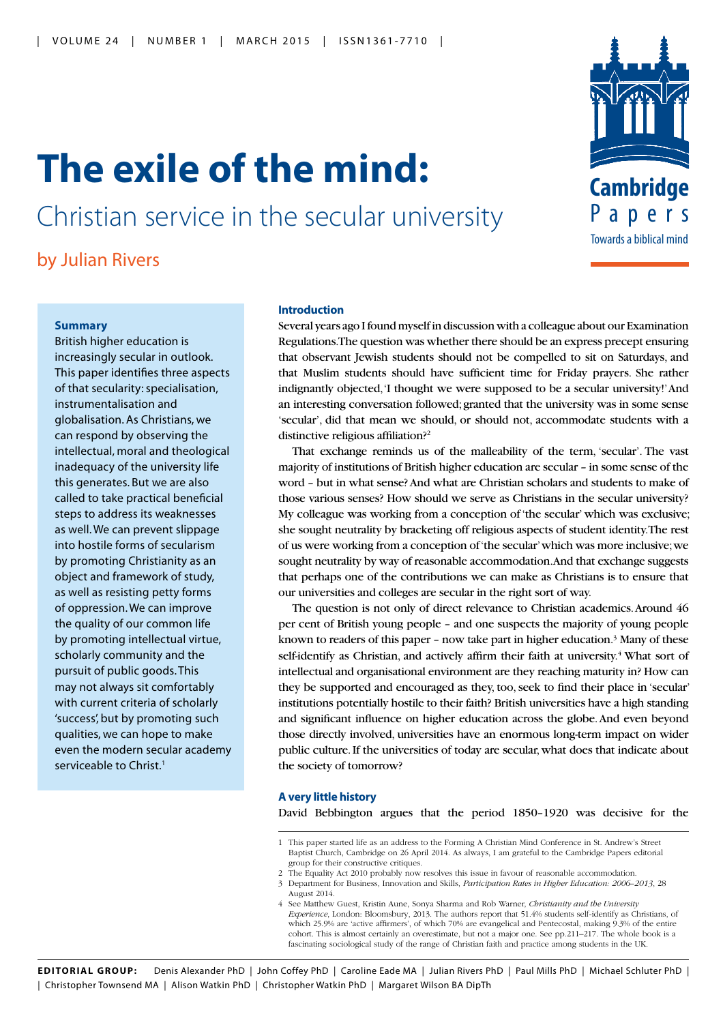## **The exile of the mind:**

Christian service in the secular university

by Julian Rivers

# Towards a biblical mind **Cambridge** Papers

### **Summary**

British higher education is increasingly secular in outlook. This paper identifies three aspects of that secularity: specialisation, instrumentalisation and globalisation. As Christians, we can respond by observing the intellectual, moral and theological inadequacy of the university life this generates. But we are also called to take practical beneficial steps to address its weaknesses as well. We can prevent slippage into hostile forms of secularism by promoting Christianity as an object and framework of study, as well as resisting petty forms of oppression. We can improve the quality of our common life by promoting intellectual virtue, scholarly community and the pursuit of public goods. This may not always sit comfortably with current criteria of scholarly 'success', but by promoting such qualities, we can hope to make even the modern secular academy serviceable to Christ.<sup>1</sup>

#### **Introduction**

Several years ago I found myself in discussion with a colleague about our Examination Regulations. The question was whether there should be an express precept ensuring that observant Jewish students should not be compelled to sit on Saturdays, and that Muslim students should have sufficient time for Friday prayers. She rather indignantly objected, 'I thought we were supposed to be a secular university!' And an interesting conversation followed; granted that the university was in some sense 'secular', did that mean we should, or should not, accommodate students with a distinctive religious affiliation?2

That exchange reminds us of the malleability of the term, 'secular'. The vast majority of institutions of British higher education are secular – in some sense of the word – but in what sense? And what are Christian scholars and students to make of those various senses? How should we serve as Christians in the secular university? My colleague was working from a conception of 'the secular' which was exclusive; she sought neutrality by bracketing off religious aspects of student identity. The rest of us were working from a conception of 'the secular' which was more inclusive; we sought neutrality by way of reasonable accommodation. And that exchange suggests that perhaps one of the contributions we can make as Christians is to ensure that our universities and colleges are secular in the right sort of way.

The question is not only of direct relevance to Christian academics. Around 46 per cent of British young people – and one suspects the majority of young people known to readers of this paper - now take part in higher education.<sup>3</sup> Many of these self-identify as Christian, and actively affirm their faith at university.<sup>4</sup> What sort of intellectual and organisational environment are they reaching maturity in? How can they be supported and encouraged as they, too, seek to find their place in 'secular' institutions potentially hostile to their faith? British universities have a high standing and significant influence on higher education across the globe. And even beyond those directly involved, universities have an enormous long-term impact on wider public culture. If the universities of today are secular, what does that indicate about the society of tomorrow?

#### **A very little history**

David Bebbington argues that the period 1850–1920 was decisive for the

2 The Equality Act 2010 probably now resolves this issue in favour of reasonable accommodation.

**EDITORIAL GROUP:** Denis Alexander PhD | John Coffey PhD | Caroline Eade MA | Julian Rivers PhD | Paul Mills PhD | Michael Schluter PhD | | Christopher Townsend MA | Alison Watkin PhD | Christopher Watkin PhD | Margaret Wilson BA DipTh

<sup>1</sup> This paper started life as an address to the Forming A Christian Mind Conference in St. Andrew's Street Baptist Church, Cambridge on 26 April 2014. As always, I am grateful to the Cambridge Papers editorial group for their constructive critiques.

<sup>3</sup> Department for Business, Innovation and Skills, *Participation Rates in Higher Education: 2006–2013*, 28 August 2014.

<sup>4</sup> See Matthew Guest, Kristin Aune, Sonya Sharma and Rob Warner, *Christianity and the University Experience*, London: Bloomsbury, 2013. The authors report that 51.4% students self-identify as Christians, of which 25.9% are 'active affirmers', of which 70% are evangelical and Pentecostal, making 9.3% of the entire cohort. This is almost certainly an overestimate, but not a major one. See pp.211–217. The whole book is a fascinating sociological study of the range of Christian faith and practice among students in the UK.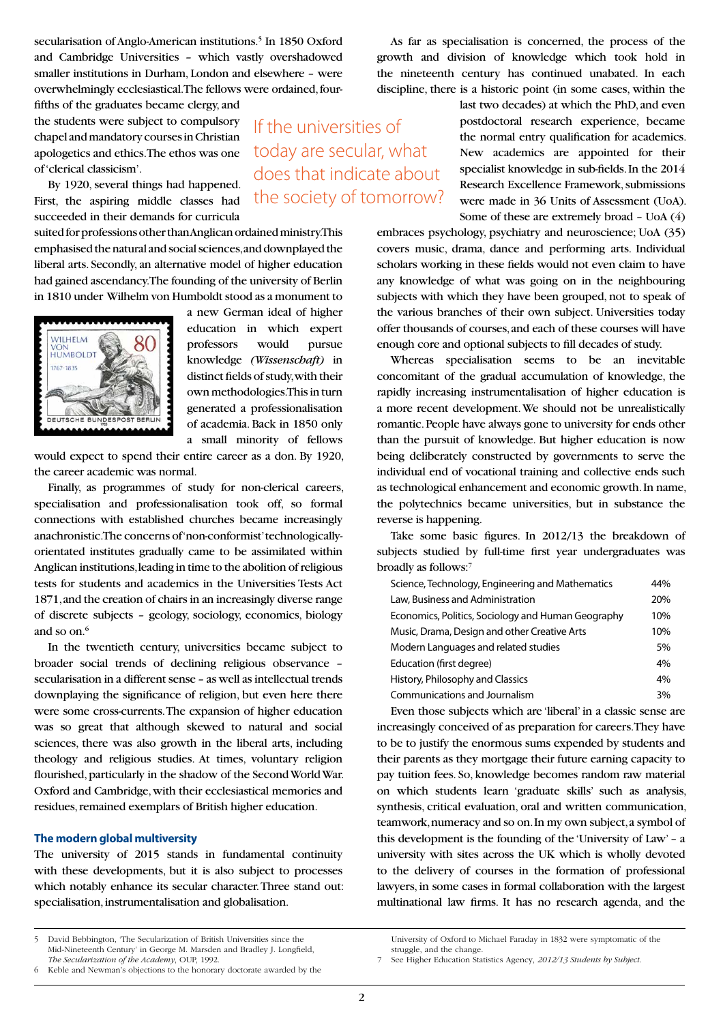secularisation of Anglo-American institutions.<sup>5</sup> In 1850 Oxford and Cambridge Universities – which vastly overshadowed smaller institutions in Durham, London and elsewhere – were overwhelmingly ecclesiastical. The fellows were ordained, four-

fifths of the graduates became clergy, and the students were subject to compulsory chapel and mandatory courses in Christian apologetics and ethics. The ethos was one of 'clerical classicism'.

By 1920, several things had happened. First, the aspiring middle classes had succeeded in their demands for curricula

suited for professions other than Anglican ordained ministry. This emphasised the natural and social sciences, and downplayed the liberal arts. Secondly, an alternative model of higher education had gained ascendancy. The founding of the university of Berlin in 1810 under Wilhelm von Humboldt stood as a monument to

WILHELM **HUMBOLDT** 1767-1835 EUTSCHE BUNDES a new German ideal of higher education in which expert professors would pursue knowledge *(Wissenschaft)* in distinct fields of study, with their own methodologies. This in turn generated a professionalisation of academia. Back in 1850 only a small minority of fellows

If the universities of

today are secular, what does that indicate about the society of tomorrow?

would expect to spend their entire career as a don. By 1920, the career academic was normal.

Finally, as programmes of study for non-clerical careers, specialisation and professionalisation took off, so formal connections with established churches became increasingly anachronistic. The concerns of 'non-conformist' technologicallyorientated institutes gradually came to be assimilated within Anglican institutions, leading in time to the abolition of religious tests for students and academics in the Universities Tests Act 1871, and the creation of chairs in an increasingly diverse range of discrete subjects – geology, sociology, economics, biology and so on.<sup>6</sup>

In the twentieth century, universities became subject to broader social trends of declining religious observance – secularisation in a different sense – as well as intellectual trends downplaying the significance of religion, but even here there were some cross-currents. The expansion of higher education was so great that although skewed to natural and social sciences, there was also growth in the liberal arts, including theology and religious studies. At times, voluntary religion flourished, particularly in the shadow of the Second World War. Oxford and Cambridge, with their ecclesiastical memories and residues, remained exemplars of British higher education.

#### **The modern global multiversity**

The university of 2015 stands in fundamental continuity with these developments, but it is also subject to processes which notably enhance its secular character. Three stand out: specialisation, instrumentalisation and globalisation.

As far as specialisation is concerned, the process of the growth and division of knowledge which took hold in the nineteenth century has continued unabated. In each discipline, there is a historic point (in some cases, within the

> last two decades) at which the PhD, and even postdoctoral research experience, became the normal entry qualification for academics. New academics are appointed for their specialist knowledge in sub-fields. In the 2014 Research Excellence Framework, submissions were made in 36 Units of Assessment (UoA). Some of these are extremely broad – UoA (4)

embraces psychology, psychiatry and neuroscience; UoA (35) covers music, drama, dance and performing arts. Individual scholars working in these fields would not even claim to have any knowledge of what was going on in the neighbouring subjects with which they have been grouped, not to speak of the various branches of their own subject. Universities today offer thousands of courses, and each of these courses will have enough core and optional subjects to fill decades of study.

Whereas specialisation seems to be an inevitable concomitant of the gradual accumulation of knowledge, the rapidly increasing instrumentalisation of higher education is a more recent development. We should not be unrealistically romantic. People have always gone to university for ends other than the pursuit of knowledge. But higher education is now being deliberately constructed by governments to serve the individual end of vocational training and collective ends such as technological enhancement and economic growth. In name, the polytechnics became universities, but in substance the reverse is happening.

Take some basic figures. In 2012/13 the breakdown of subjects studied by full-time first year undergraduates was broadly as follows:7

| Science, Technology, Engineering and Mathematics   | 44% |
|----------------------------------------------------|-----|
| Law, Business and Administration                   | 20% |
| Economics, Politics, Sociology and Human Geography | 10% |
| Music, Drama, Design and other Creative Arts       | 10% |
| Modern Languages and related studies               | 5%  |
| Education (first degree)                           | 4%  |
| History, Philosophy and Classics                   | 4%  |
| Communications and Journalism                      | 3%  |

Even those subjects which are 'liberal' in a classic sense are increasingly conceived of as preparation for careers. They have to be to justify the enormous sums expended by students and their parents as they mortgage their future earning capacity to pay tuition fees. So, knowledge becomes random raw material on which students learn 'graduate skills' such as analysis, synthesis, critical evaluation, oral and written communication, teamwork, numeracy and so on. In my own subject, a symbol of this development is the founding of the 'University of Law' – a university with sites across the UK which is wholly devoted to the delivery of courses in the formation of professional lawyers, in some cases in formal collaboration with the largest multinational law firms. It has no research agenda, and the

6 Keble and Newman's objections to the honorary doctorate awarded by the

<sup>5</sup> David Bebbington, 'The Secularization of British Universities since the Mid-Nineteenth Century' in George M. Marsden and Bradley J. Longfield, *The Secularization of the Academy*, OUP, 1992.

University of Oxford to Michael Faraday in 1832 were symptomatic of the struggle, and the change.

<sup>7</sup> See Higher Education Statistics Agency, *2012/13 Students by Subject*.

<sup>2</sup>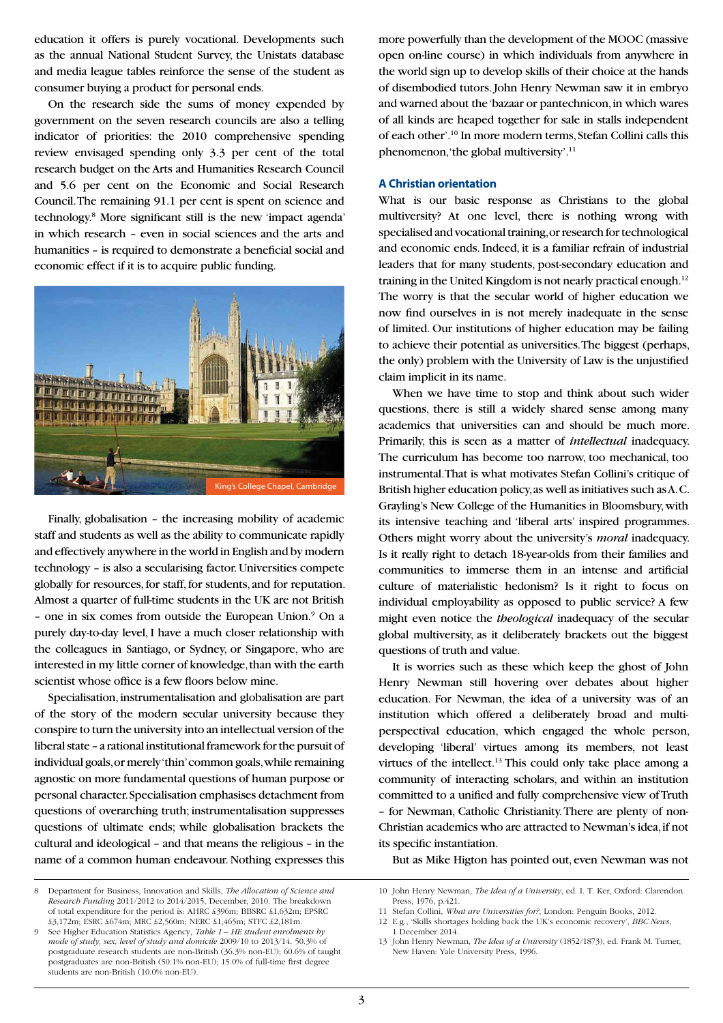education it offers is purely vocational. Developments such as the annual National Student Survey, the Unistats database and media league tables reinforce the sense of the student as consumer buying a product for personal ends.

On the research side the sums of money expended by government on the seven research councils are also a telling indicator of priorities: the 2010 comprehensive spending review envisaged spending only 3.3 per cent of the total research budget on the Arts and Humanities Research Council and 5.6 per cent on the Economic and Social Research Council. The remaining 91.1 per cent is spent on science and technology.8 More significant still is the new 'impact agenda' in which research – even in social sciences and the arts and humanities – is required to demonstrate a beneficial social and economic effect if it is to acquire public funding.



Finally, globalisation – the increasing mobility of academic staff and students as well as the ability to communicate rapidly and effectively anywhere in the world in English and by modern technology – is also a secularising factor. Universities compete globally for resources, for staff, for students, and for reputation. Almost a quarter of full-time students in the UK are not British - one in six comes from outside the European Union.<sup>9</sup> On a purely day-to-day level, I have a much closer relationship with the colleagues in Santiago, or Sydney, or Singapore, who are interested in my little corner of knowledge, than with the earth scientist whose office is a few floors below mine.

Specialisation, instrumentalisation and globalisation are part of the story of the modern secular university because they conspire to turn the university into an intellectual version of the liberal state – a rational institutional framework for the pursuit of individual goals, or merely 'thin' common goals, while remaining agnostic on more fundamental questions of human purpose or personal character. Specialisation emphasises detachment from questions of overarching truth; instrumentalisation suppresses questions of ultimate ends; while globalisation brackets the cultural and ideological – and that means the religious – in the name of a common human endeavour. Nothing expresses this more powerfully than the development of the MOOC (massive open on-line course) in which individuals from anywhere in the world sign up to develop skills of their choice at the hands of disembodied tutors. John Henry Newman saw it in embryo and warned about the 'bazaar or pantechnicon, in which wares of all kinds are heaped together for sale in stalls independent of each other'.10 In more modern terms, Stefan Collini calls this phenomenon, 'the global multiversity'.11

#### **A Christian orientation**

What is our basic response as Christians to the global multiversity? At one level, there is nothing wrong with specialised and vocational training, or research for technological and economic ends. Indeed, it is a familiar refrain of industrial leaders that for many students, post-secondary education and training in the United Kingdom is not nearly practical enough.<sup>12</sup> The worry is that the secular world of higher education we now find ourselves in is not merely inadequate in the sense of limited. Our institutions of higher education may be failing to achieve their potential as universities. The biggest (perhaps, the only) problem with the University of Law is the unjustified claim implicit in its name.

When we have time to stop and think about such wider questions, there is still a widely shared sense among many academics that universities can and should be much more. Primarily, this is seen as a matter of *intellectual* inadequacy. The curriculum has become too narrow, too mechanical, too instrumental. That is what motivates Stefan Collini's critique of British higher education policy, as well as initiatives such as A. C. Grayling's New College of the Humanities in Bloomsbury, with its intensive teaching and 'liberal arts' inspired programmes. Others might worry about the university's *moral* inadequacy. Is it really right to detach 18-year-olds from their families and communities to immerse them in an intense and artificial culture of materialistic hedonism? Is it right to focus on individual employability as opposed to public service? A few might even notice the *theological* inadequacy of the secular global multiversity, as it deliberately brackets out the biggest questions of truth and value.

It is worries such as these which keep the ghost of John Henry Newman still hovering over debates about higher education. For Newman, the idea of a university was of an institution which offered a deliberately broad and multiperspectival education, which engaged the whole person, developing 'liberal' virtues among its members, not least virtues of the intellect.<sup>13</sup> This could only take place among a community of interacting scholars, and within an institution committed to a unified and fully comprehensive view of Truth – for Newman, Catholic Christianity. There are plenty of non-Christian academics who are attracted to Newman's idea, if not its specific instantiation.

But as Mike Higton has pointed out, even Newman was not

<sup>8</sup> Department for Business, Innovation and Skills, *The Allocation of Science and Research Funding* 2011/2012 to 2014/2015, December, 2010. The breakdown of total expenditure for the period is: AHRC £396m; BBSRC £1,632m; EPSRC £3,172m; ESRC £674m; MRC £2,560m; NERC £1,465m; STFC £2,181m.

<sup>9</sup> See Higher Education Statistics Agency, *Table 1 – HE student enrolments by mode of study, sex, level of study and domicile* 2009/10 to 2013/14. 50.3% of postgraduate research students are non-British (36.3% non-EU); 60.6% of taught postgraduates are non-British (50.1% non-EU); 15.0% of full-time first degree students are non-British (10.0% non-EU).

<sup>10</sup> John Henry Newman, *The Idea of a University*, ed. I. T. Ker, Oxford: Clarendon Press, 1976, p.421.

<sup>11</sup> Stefan Collini, *What are Universities for?*, London: Penguin Books, 2012.

<sup>12</sup> E.g., 'Skills shortages holding back the UK's economic recovery', *BBC News*, 1 December 2014.

<sup>13</sup> John Henry Newman, *The Idea of a University* (1852/1873), ed. Frank M. Turner, New Haven: Yale University Press, 1996.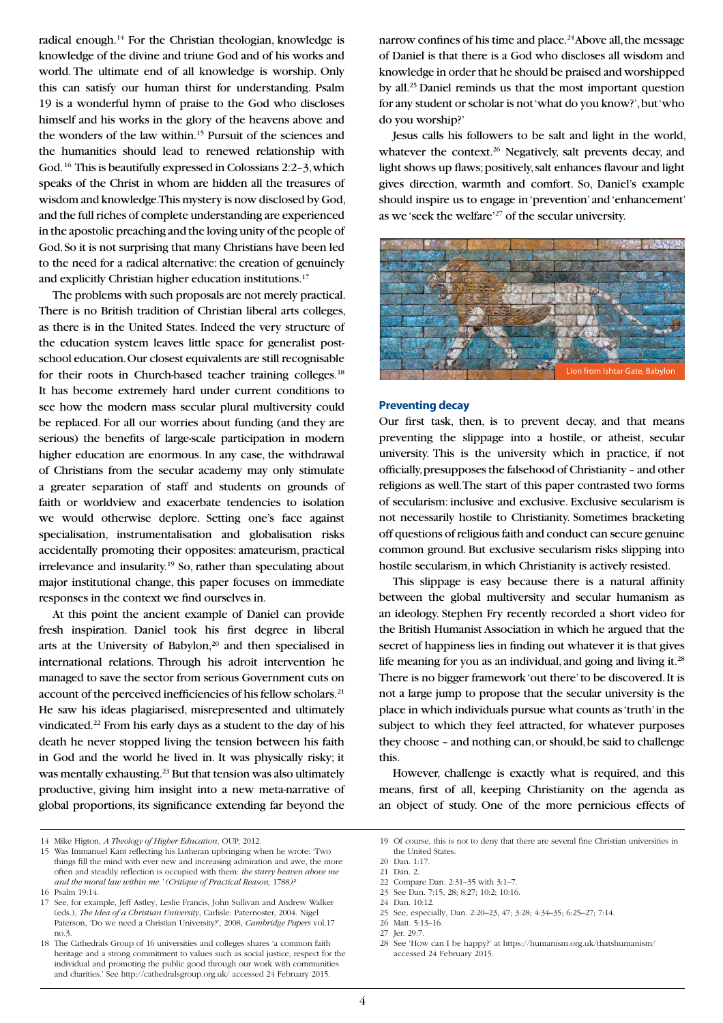radical enough.14 For the Christian theologian, knowledge is knowledge of the divine and triune God and of his works and world. The ultimate end of all knowledge is worship. Only this can satisfy our human thirst for understanding. Psalm 19 is a wonderful hymn of praise to the God who discloses himself and his works in the glory of the heavens above and the wonders of the law within.15 Pursuit of the sciences and the humanities should lead to renewed relationship with God. 16 This is beautifully expressed in Colossians 2:2–3, which speaks of the Christ in whom are hidden all the treasures of wisdom and knowledge. This mystery is now disclosed by God, and the full riches of complete understanding are experienced in the apostolic preaching and the loving unity of the people of God. So it is not surprising that many Christians have been led to the need for a radical alternative: the creation of genuinely and explicitly Christian higher education institutions.17

The problems with such proposals are not merely practical. There is no British tradition of Christian liberal arts colleges, as there is in the United States. Indeed the very structure of the education system leaves little space for generalist postschool education. Our closest equivalents are still recognisable for their roots in Church-based teacher training colleges.<sup>18</sup> It has become extremely hard under current conditions to see how the modern mass secular plural multiversity could be replaced. For all our worries about funding (and they are serious) the benefits of large-scale participation in modern higher education are enormous. In any case, the withdrawal of Christians from the secular academy may only stimulate a greater separation of staff and students on grounds of faith or worldview and exacerbate tendencies to isolation we would otherwise deplore. Setting one's face against specialisation, instrumentalisation and globalisation risks accidentally promoting their opposites: amateurism, practical irrelevance and insularity.19 So, rather than speculating about major institutional change, this paper focuses on immediate responses in the context we find ourselves in.

At this point the ancient example of Daniel can provide fresh inspiration. Daniel took his first degree in liberal arts at the University of Babylon,<sup>20</sup> and then specialised in international relations. Through his adroit intervention he managed to save the sector from serious Government cuts on account of the perceived inefficiencies of his fellow scholars.<sup>21</sup> He saw his ideas plagiarised, misrepresented and ultimately vindicated.22 From his early days as a student to the day of his death he never stopped living the tension between his faith in God and the world he lived in. It was physically risky; it was mentally exhausting.<sup>23</sup> But that tension was also ultimately productive, giving him insight into a new meta-narrative of global proportions, its significance extending far beyond the narrow confines of his time and place.<sup>24</sup> Above all, the message of Daniel is that there is a God who discloses all wisdom and knowledge in order that he should be praised and worshipped by all.25 Daniel reminds us that the most important question for any student or scholar is not 'what do you know?', but 'who do you worship?'

Jesus calls his followers to be salt and light in the world, whatever the context.<sup>26</sup> Negatively, salt prevents decay, and light shows up flaws; positively, salt enhances flavour and light gives direction, warmth and comfort. So, Daniel's example should inspire us to engage in 'prevention' and 'enhancement' as we 'seek the welfare'27 of the secular university.



#### **Preventing decay**

Our first task, then, is to prevent decay, and that means preventing the slippage into a hostile, or atheist, secular university. This is the university which in practice, if not officially, presupposes the falsehood of Christianity – and other religions as well. The start of this paper contrasted two forms of secularism: inclusive and exclusive. Exclusive secularism is not necessarily hostile to Christianity. Sometimes bracketing off questions of religious faith and conduct can secure genuine common ground. But exclusive secularism risks slipping into hostile secularism, in which Christianity is actively resisted.

This slippage is easy because there is a natural affinity between the global multiversity and secular humanism as an ideology. Stephen Fry recently recorded a short video for the British Humanist Association in which he argued that the secret of happiness lies in finding out whatever it is that gives life meaning for you as an individual, and going and living it.<sup>28</sup> There is no bigger framework 'out there' to be discovered. It is not a large jump to propose that the secular university is the place in which individuals pursue what counts as 'truth' in the subject to which they feel attracted, for whatever purposes they choose – and nothing can, or should, be said to challenge this.

However, challenge is exactly what is required, and this means, first of all, keeping Christianity on the agenda as an object of study. One of the more pernicious effects of

22 Compare Dan. 2:31–35 with 3:1–7.

24 Dan. 10:12.

<sup>14</sup> Mike Higton, *A Theology of Higher Education*, OUP, 2012.

<sup>15</sup> Was Immanuel Kant reflecting his Lutheran upbringing when he wrote: 'Two things fill the mind with ever new and increasing admiration and awe, the more often and steadily reflection is occupied with them: *the starry heaven above me and the moral law within me.' (Critique of Practical Reason,* 1788*)?* 16 Psalm 19:14.

<sup>17</sup> See, for example, Jeff Astley, Leslie Francis, John Sullivan and Andrew Walker (eds.), *The Idea of a Christian University*, Carlisle: Paternoster, 2004. Nigel Paterson, 'Do we need a Christian University?', 2008, *Cambridge Papers* vol.17 no.3.

<sup>18</sup> The Cathedrals Group of 16 universities and colleges shares 'a common faith heritage and a strong commitment to values such as social justice, respect for the individual and promoting the public good through our work with communities and charities.' See http://cathedralsgroup.org.uk/ accessed 24 February 2015.

<sup>19</sup> Of course, this is not to deny that there are several fine Christian universities in the United States.

<sup>20</sup> Dan. 1:17.

<sup>21</sup> Dan. 2.

<sup>23</sup> See Dan. 7:15, 28; 8:27; 10:2; 10:16.

<sup>25</sup> See, especially, Dan. 2:20–23, 47; 3:28; 4:34–35; 6:25–27; 7:14.

<sup>26</sup> Matt. 5:13–16.

<sup>27</sup> Jer. 29:7.

<sup>28</sup> See 'How can I be happy?' at https://humanism.org.uk/thatshumanism/ accessed 24 February 2015.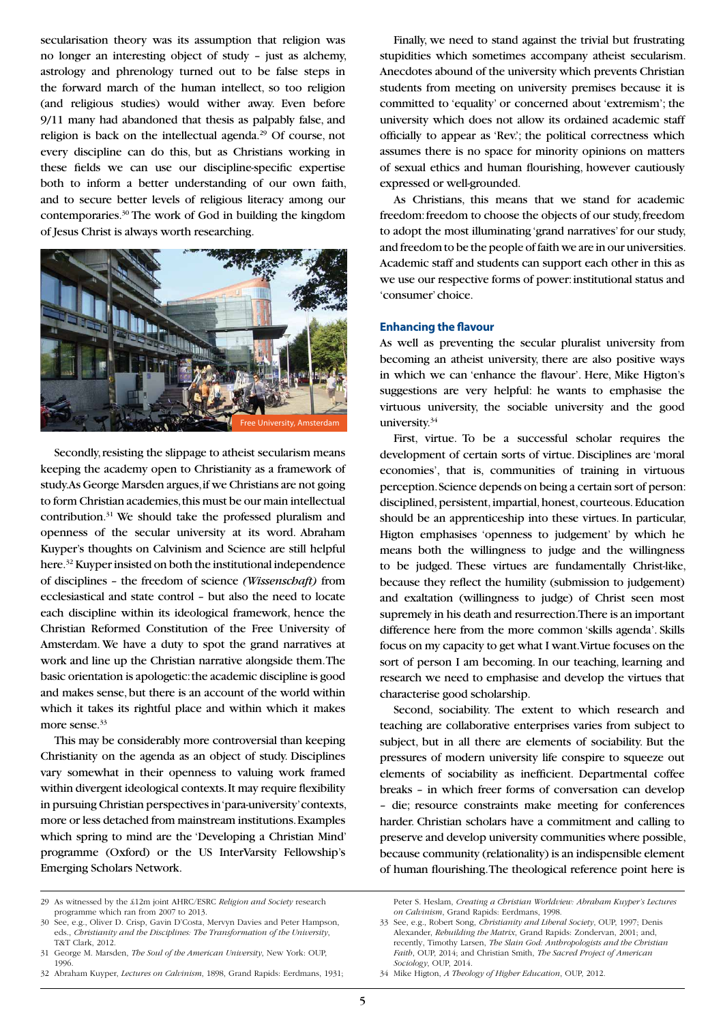secularisation theory was its assumption that religion was no longer an interesting object of study – just as alchemy, astrology and phrenology turned out to be false steps in the forward march of the human intellect, so too religion (and religious studies) would wither away. Even before 9/11 many had abandoned that thesis as palpably false, and religion is back on the intellectual agenda.29 Of course, not every discipline can do this, but as Christians working in these fields we can use our discipline-specific expertise both to inform a better understanding of our own faith, and to secure better levels of religious literacy among our contemporaries.30 The work of God in building the kingdom of Jesus Christ is always worth researching.



Secondly, resisting the slippage to atheist secularism means keeping the academy open to Christianity as a framework of study. As George Marsden argues, if we Christians are not going to form Christian academies, this must be our main intellectual contribution.31 We should take the professed pluralism and openness of the secular university at its word. Abraham Kuyper's thoughts on Calvinism and Science are still helpful here.32 Kuyper insisted on both the institutional independence of disciplines – the freedom of science *(Wissenschaft)* from ecclesiastical and state control – but also the need to locate each discipline within its ideological framework, hence the Christian Reformed Constitution of the Free University of Amsterdam. We have a duty to spot the grand narratives at work and line up the Christian narrative alongside them. The basic orientation is apologetic: the academic discipline is good and makes sense, but there is an account of the world within which it takes its rightful place and within which it makes more sense.<sup>33</sup>

This may be considerably more controversial than keeping Christianity on the agenda as an object of study. Disciplines vary somewhat in their openness to valuing work framed within divergent ideological contexts. It may require flexibility in pursuing Christian perspectives in 'para-university' contexts, more or less detached from mainstream institutions. Examples which spring to mind are the 'Developing a Christian Mind' programme (Oxford) or the US InterVarsity Fellowship's Emerging Scholars Network.

Finally, we need to stand against the trivial but frustrating stupidities which sometimes accompany atheist secularism. Anecdotes abound of the university which prevents Christian students from meeting on university premises because it is committed to 'equality' or concerned about 'extremism'; the university which does not allow its ordained academic staff officially to appear as 'Rev.'; the political correctness which assumes there is no space for minority opinions on matters of sexual ethics and human flourishing, however cautiously expressed or well-grounded.

As Christians, this means that we stand for academic freedom: freedom to choose the objects of our study, freedom to adopt the most illuminating 'grand narratives' for our study, and freedom to be the people of faith we are in our universities. Academic staff and students can support each other in this as we use our respective forms of power: institutional status and 'consumer' choice.

#### **Enhancing the favour**

As well as preventing the secular pluralist university from becoming an atheist university, there are also positive ways in which we can 'enhance the flavour'. Here, Mike Higton's suggestions are very helpful: he wants to emphasise the virtuous university, the sociable university and the good university.<sup>34</sup>

First, virtue. To be a successful scholar requires the development of certain sorts of virtue. Disciplines are 'moral economies', that is, communities of training in virtuous perception. Science depends on being a certain sort of person: disciplined, persistent, impartial, honest, courteous. Education should be an apprenticeship into these virtues. In particular, Higton emphasises 'openness to judgement' by which he means both the willingness to judge and the willingness to be judged. These virtues are fundamentally Christ-like, because they reflect the humility (submission to judgement) and exaltation (willingness to judge) of Christ seen most supremely in his death and resurrection. There is an important difference here from the more common 'skills agenda'. Skills focus on my capacity to get what I want. Virtue focuses on the sort of person I am becoming. In our teaching, learning and research we need to emphasise and develop the virtues that characterise good scholarship.

Second, sociability. The extent to which research and teaching are collaborative enterprises varies from subject to subject, but in all there are elements of sociability. But the pressures of modern university life conspire to squeeze out elements of sociability as inefficient. Departmental coffee breaks – in which freer forms of conversation can develop – die; resource constraints make meeting for conferences harder. Christian scholars have a commitment and calling to preserve and develop university communities where possible, because community (relationality) is an indispensible element of human flourishing. The theological reference point here is

<sup>29</sup> As witnessed by the £12m joint AHRC/ESRC *Religion and Society* research programme which ran from 2007 to 2013.

<sup>30</sup> See, e.g., Oliver D. Crisp, Gavin D'Costa, Mervyn Davies and Peter Hampson, eds., *Christianity and the Disciplines: The Transformation of the University*, T&T Clark, 2012.

<sup>31</sup> George M. Marsden, *The Soul of the American University*, New York: OUP, 1996.

<sup>32</sup> Abraham Kuyper, *Lectures on Calvinism*, 1898, Grand Rapids: Eerdmans, 1931;

Peter S. Heslam, *Creating a Christian Worldview: Abraham Kuyper's Lectures on Calvinism*, Grand Rapids: Eerdmans, 1998.

<sup>33</sup> See, e.g., Robert Song, *Christianity and Liberal Society*, OUP, 1997; Denis Alexander, *Rebuilding the Matrix*, Grand Rapids: Zondervan, 2001; and, recently, Timothy Larsen, *The Slain God: Anthropologists and the Christian Faith*, OUP, 2014; and Christian Smith, *The Sacred Project of American Sociology*, OUP, 2014.

<sup>34</sup> Mike Higton, *A Theology of Higher Education*, OUP, 2012.